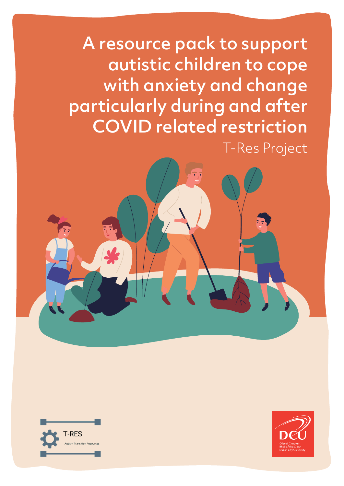A resource pack to support autistic children to cope with anxiety and change particularly during and after COVID related restriction T-Res Project



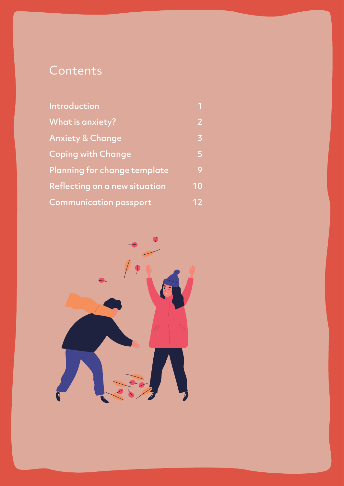# **Contents**

| Introduction                  |                |
|-------------------------------|----------------|
| What is anxiety?              | $\overline{2}$ |
| <b>Anxiety &amp; Change</b>   | 3              |
| <b>Coping with Change</b>     | 5              |
| Planning for change template  | 9              |
| Reflecting on a new situation | 10             |
| <b>Communication passport</b> | 12             |

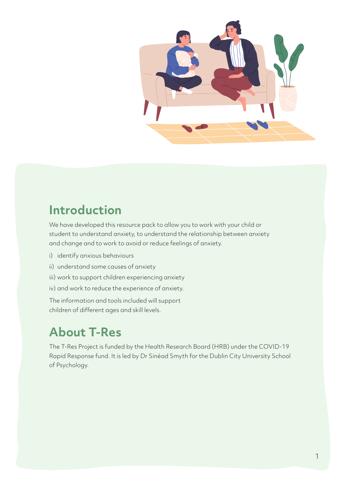

# **Introduction**

We have developed this resource pack to allow you to work with your child or student to understand anxiety, to understand the relationship between anxiety and change and to work to avoid or reduce feelings of anxiety.

- i) identify anxious behaviours
- ii) understand some causes of anxiety
- iii) work to support children experiencing anxiety
- iv) and work to reduce the experience of anxiety.

The information and tools included will support children of different ages and skill levels.

# **About T-Res**

The T-Res Project is funded by the Health Research Board (HRB) under the COVID-19 Rapid Response fund. It is led by Dr Sinéad Smyth for the Dublin City University School of Psychology.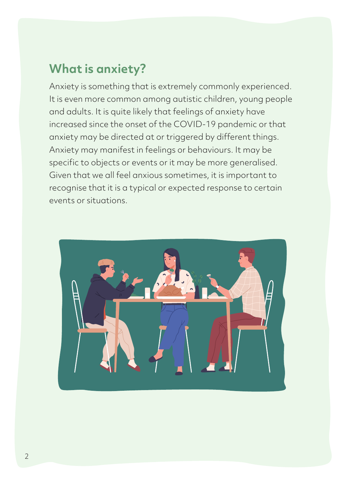# **What is anxiety?**

Anxiety is something that is extremely commonly experienced. It is even more common among autistic children, young people and adults. It is quite likely that feelings of anxiety have increased since the onset of the COVID-19 pandemic or that anxiety may be directed at or triggered by different things. Anxiety may manifest in feelings or behaviours. It may be specific to objects or events or it may be more generalised. Given that we all feel anxious sometimes, it is important to recognise that it is a typical or expected response to certain events or situations.

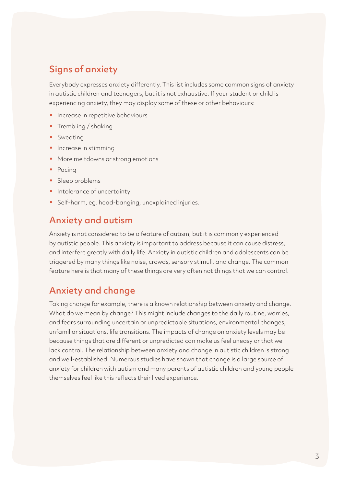## Signs of anxiety

Everybody expresses anxiety differently. This list includes some common signs of anxiety in autistic children and teenagers, but it is not exhaustive. If your student or child is experiencing anxiety, they may display some of these or other behaviours:

- Increase in repetitive behaviours
- Trembling / shaking
- Sweating
- Increase in stimming
- More meltdowns or strong emotions
- Pacing
- Sleep problems
- Intolerance of uncertainty
- Self-harm, eg. head-banging, unexplained injuries.

### Anxiety and autism

Anxiety is not considered to be a feature of autism, but it is commonly experienced by autistic people. This anxiety is important to address because it can cause distress, and interfere greatly with daily life. Anxiety in autistic children and adolescents can be triggered by many things like noise, crowds, sensory stimuli, and change. The common feature here is that many of these things are very often not things that we can control.

#### Anxiety and change

Taking change for example, there is a known relationship between anxiety and change. What do we mean by change? This might include changes to the daily routine, worries, and fears surrounding uncertain or unpredictable situations, environmental changes, unfamiliar situations, life transitions. The impacts of change on anxiety levels may be because things that are different or unpredicted can make us feel uneasy or that we lack control. The relationship between anxiety and change in autistic children is strong and well-established. Numerous studies have shown that change is a large source of anxiety for children with autism and many parents of autistic children and young people themselves feel like this reflects their lived experience.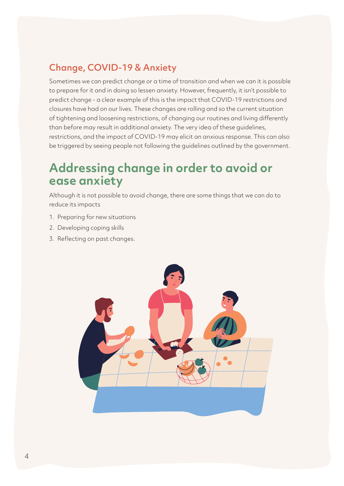# Change, COVID-19 & Anxiety

Sometimes we can predict change or a time of transition and when we can it is possible to prepare for it and in doing so lessen anxiety. However, frequently, it isn't possible to predict change - a clear example of this is the impact that COVID-19 restrictions and closures have had on our lives. These changes are rolling and so the current situation of tightening and loosening restrictions, of changing our routines and living differently than before may result in additional anxiety. The very idea of these guidelines, restrictions, and the impact of COVID-19 may elicit an anxious response. This can also be triggered by seeing people not following the guidelines outlined by the government.

# **Addressing change in order to avoid or ease anxiety**

Although it is not possible to avoid change, there are some things that we can do to reduce its impacts

- 1. Preparing for new situations
- 2. Developing coping skills
- 3. Reflecting on past changes.

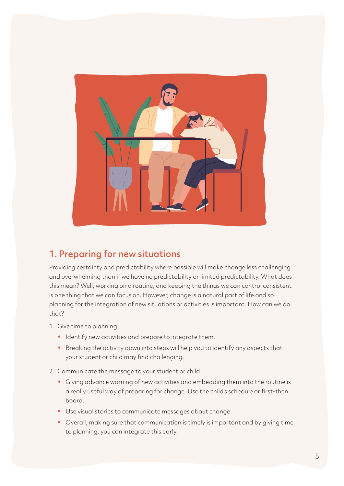

### 1. Preparing for new situations

Providing certainty and predictability where possible will make change less challenging and overwhelming than if we have no predictability or limited predictability. What does this mean? Well, working on a routine, and keeping the things we can control consistent is one thing that we can focus on. However, change is a natural part of life and so planning for the integration of new situations or activities is important. How can we do that?

- 1. Give time to planning
	- Identify new activities and prepare to integrate them.
	- Breaking the activity down into steps will help you to identify any aspects that your student or child may find challenging.
- 2. Communicate the message to your student or child
	- Giving advance warning of new activities and embedding them into the routine is a really useful way of preparing for change. Use the child's schedule or first-then board.
	- Use visual stories to communicate messages about change.
	- Overall, making sure that communication is timely is important and by giving time to planning, you can integrate this early.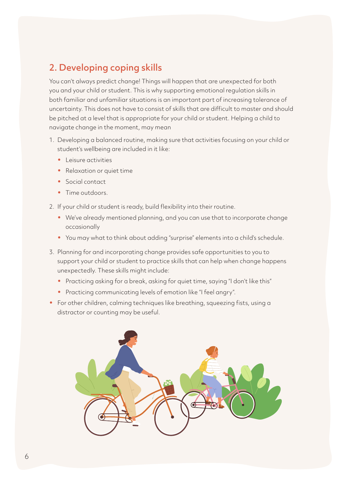# 2. Developing coping skills

You can't always predict change! Things will happen that are unexpected for both you and your child or student. This is why supporting emotional regulation skills in both familiar and unfamiliar situations is an important part of increasing tolerance of uncertainty. This does not have to consist of skills that are difficult to master and should be pitched at a level that is appropriate for your child or student. Helping a child to navigate change in the moment, may mean

- 1. Developing a balanced routine, making sure that activities focusing on your child or student's wellbeing are included in it like:
	- Leisure activities
	- Relaxation or quiet time
	- Social contact
	- Time outdoors.
- 2. If your child or student is ready, build flexibility into their routine.
	- We've already mentioned planning, and you can use that to incorporate change occasionally
	- You may what to think about adding "surprise" elements into a child's schedule.
- 3. Planning for and incorporating change provides safe opportunities to you to support your child or student to practice skills that can help when change happens unexpectedly. These skills might include:
	- Practicing asking for a break, asking for quiet time, saying "I don't like this"
	- Practicing communicating levels of emotion like "I feel angry".
- For other children, calming techniques like breathing, squeezing fists, using a distractor or counting may be useful.

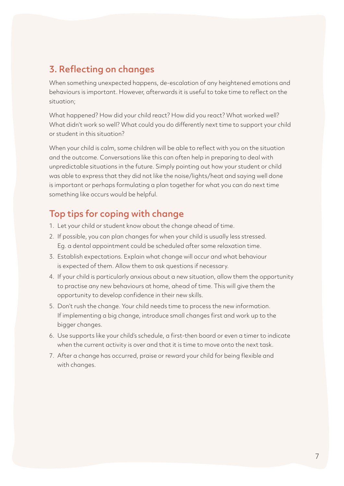### 3. Reflecting on changes

When something unexpected happens, de-escalation of any heightened emotions and behaviours is important. However, afterwards it is useful to take time to reflect on the situation;

What happened? How did your child react? How did you react? What worked well? What didn't work so well? What could you do differently next time to support your child or student in this situation?

When your child is calm, some children will be able to reflect with you on the situation and the outcome. Conversations like this can often help in preparing to deal with unpredictable situations in the future. Simply pointing out how your student or child was able to express that they did not like the noise/lights/heat and saying well done is important or perhaps formulating a plan together for what you can do next time something like occurs would be helpful.

### Top tips for coping with change

- 1. Let your child or student know about the change ahead of time.
- 2. If possible, you can plan changes for when your child is usually less stressed. Eg. a dental appointment could be scheduled after some relaxation time.
- 3. Establish expectations. Explain what change will occur and what behaviour is expected of them. Allow them to ask questions if necessary.
- 4. If your child is particularly anxious about a new situation, allow them the opportunity to practise any new behaviours at home, ahead of time. This will give them the opportunity to develop confidence in their new skills.
- 5. Don't rush the change. Your child needs time to process the new information. If implementing a big change, introduce small changes first and work up to the bigger changes.
- 6. Use supports like your child's schedule, a first-then board or even a timer to indicate when the current activity is over and that it is time to move onto the next task.
- 7. After a change has occurred, praise or reward your child for being flexible and with changes.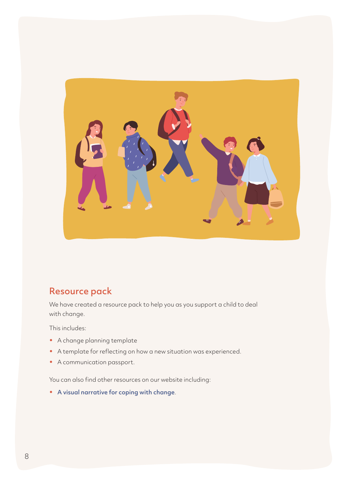

### Resource pack

We have created a resource pack to help you as you support a child to deal with change.

This includes:

- A change planning template
- A template for reflecting on how a new situation was experienced.
- A communication passport.

You can also find other resources on our website including:

• [A visual narrative for coping with change](https://docs.google.com/document/d/18C_LBaKq0qRP7P607bsH7Ep9M3ZGCb5Ef25kW6sHLuI/edit).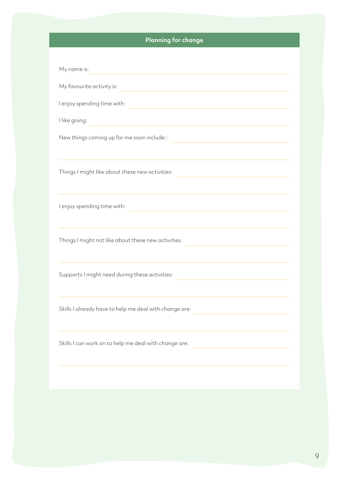#### **Planning for change**

| My name is:                                            |
|--------------------------------------------------------|
| My favourite activity is:                              |
| I enjoy spending time with:                            |
| I like going:                                          |
| New things coming up for me soon include::             |
| Things I might like about these new activities:        |
| I enjoy spending time with:                            |
| Things I might not like about these new activities:    |
| Supports I might need during these activities:         |
| Skills I already have to help me deal with change are: |
| Skills I can work on to help me deal with change are:  |
|                                                        |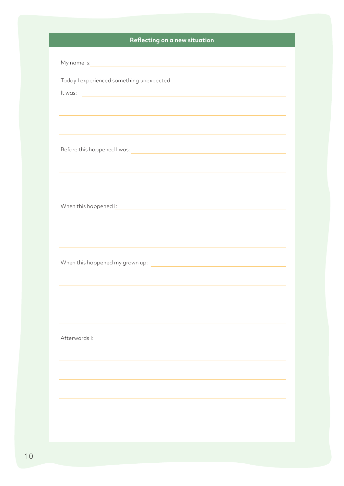#### **Reflecting on a new situation**

| My name is:                                                                                                                     |  |
|---------------------------------------------------------------------------------------------------------------------------------|--|
| Today I experienced something unexpected.                                                                                       |  |
| It was:<br><u> 1980 - Johann Barn, mars ar breithinn ar chuid ann an t-Alban ann an t-Alban ann an t-Alban ann an t-Alban a</u> |  |
|                                                                                                                                 |  |
|                                                                                                                                 |  |
| ,我们也不会有什么。""我们的人,我们也不会有什么?""我们的人,我们也不会有什么?""我们的人,我们也不会有什么?""我们的人,我们也不会有什么?""我们的人                                                |  |
| Before this happened I was:                                                                                                     |  |
| <u> 1989 - Johann Stein, mars ar yn y breninn y breninn y breninn y breninn y breninn y breninn y breninn y breni</u>           |  |
|                                                                                                                                 |  |
|                                                                                                                                 |  |
|                                                                                                                                 |  |
| When this happened I:<br><u> 1980 - Andrea Station Barbara, amerikan personal (h. 1980).</u>                                    |  |
|                                                                                                                                 |  |
|                                                                                                                                 |  |
|                                                                                                                                 |  |
|                                                                                                                                 |  |
|                                                                                                                                 |  |
|                                                                                                                                 |  |
|                                                                                                                                 |  |
|                                                                                                                                 |  |
| Afterwards I:                                                                                                                   |  |
|                                                                                                                                 |  |
|                                                                                                                                 |  |
|                                                                                                                                 |  |
|                                                                                                                                 |  |
|                                                                                                                                 |  |
|                                                                                                                                 |  |
|                                                                                                                                 |  |
|                                                                                                                                 |  |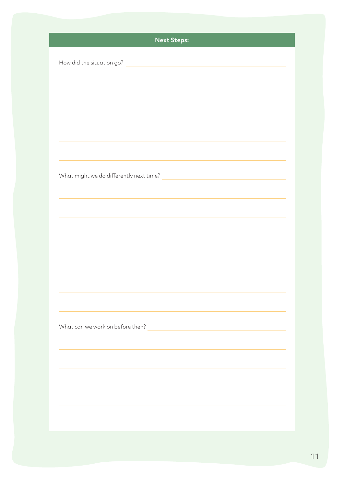| <b>Next Steps:</b>                                                                                                                                 |
|----------------------------------------------------------------------------------------------------------------------------------------------------|
|                                                                                                                                                    |
| How did the situation go?<br><u> 1980 - Jan James Sammer, mars and de la population de la population de la population de la population de la p</u> |
|                                                                                                                                                    |
|                                                                                                                                                    |
|                                                                                                                                                    |
|                                                                                                                                                    |
|                                                                                                                                                    |
|                                                                                                                                                    |
|                                                                                                                                                    |
|                                                                                                                                                    |
|                                                                                                                                                    |
|                                                                                                                                                    |
|                                                                                                                                                    |
|                                                                                                                                                    |
|                                                                                                                                                    |
|                                                                                                                                                    |
|                                                                                                                                                    |
|                                                                                                                                                    |
|                                                                                                                                                    |
|                                                                                                                                                    |
|                                                                                                                                                    |
|                                                                                                                                                    |
|                                                                                                                                                    |
| What can we work on before then?                                                                                                                   |
|                                                                                                                                                    |
|                                                                                                                                                    |
|                                                                                                                                                    |
|                                                                                                                                                    |
|                                                                                                                                                    |
|                                                                                                                                                    |
|                                                                                                                                                    |
|                                                                                                                                                    |
|                                                                                                                                                    |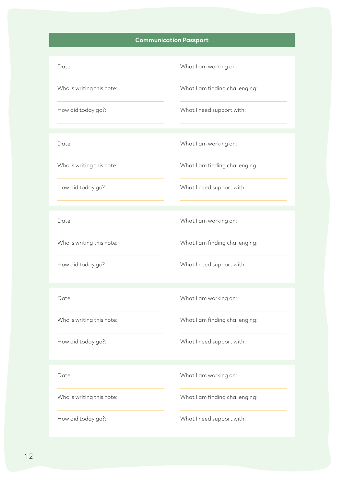#### **Communication Passport**

## Date: Who is writing this note: How did today go?: What I am working on: What I am finding challenging: What I need support with: Date: Who is writing this note: How did today go?: What I am working on: What I am finding challenging: What I need support with: Date: What I am working on:

Who is writing this note:

How did today go?:

Date:

Who is writing this note:

How did today go?:

Date:

Who is writing this note:

What I am finding challenging:

What I need support with:

What I am working on:

What I am finding challenging:

What I need support with:

What I am working on:

What I am finding challenging:

How did today go?:

What I need support with: